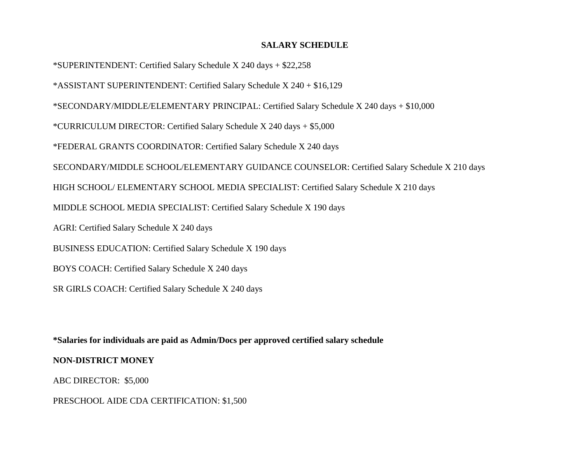### **SALARY SCHEDULE**

\*SUPERINTENDENT: Certified Salary Schedule X 240 days + \$22,258 \*ASSISTANT SUPERINTENDENT: Certified Salary Schedule X 240 + \$16,129 \*SECONDARY/MIDDLE/ELEMENTARY PRINCIPAL: Certified Salary Schedule X 240 days + \$10,000 \*CURRICULUM DIRECTOR: Certified Salary Schedule X 240 days + \$5,000 \*FEDERAL GRANTS COORDINATOR: Certified Salary Schedule X 240 days SECONDARY/MIDDLE SCHOOL/ELEMENTARY GUIDANCE COUNSELOR: Certified Salary Schedule X 210 days HIGH SCHOOL/ ELEMENTARY SCHOOL MEDIA SPECIALIST: Certified Salary Schedule X 210 days MIDDLE SCHOOL MEDIA SPECIALIST: Certified Salary Schedule X 190 days AGRI: Certified Salary Schedule X 240 days BUSINESS EDUCATION: Certified Salary Schedule X 190 days BOYS COACH: Certified Salary Schedule X 240 days SR GIRLS COACH: Certified Salary Schedule X 240 days

**\*Salaries for individuals are paid as Admin/Docs per approved certified salary schedule**

# **NON-DISTRICT MONEY**

ABC DIRECTOR: \$5,000

PRESCHOOL AIDE CDA CERTIFICATION: \$1,500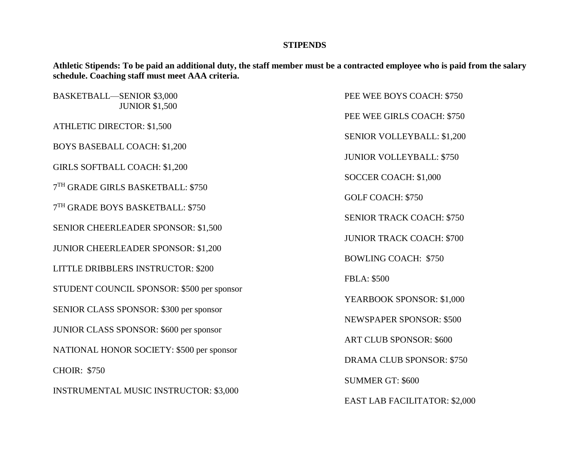#### **STIPENDS**

**Athletic Stipends: To be paid an additional duty, the staff member must be a contracted employee who is paid from the salary schedule. Coaching staff must meet AAA criteria.**

BASKETBALL—SENIOR \$3,000 PEE WEE BOYS COACH: \$750 JUNIOR \$1,500 ATHLETIC DIRECTOR: \$1,500 BOYS BASEBALL COACH: \$1,200 GIRLS SOFTBALL COACH: \$1,200 7 TH GRADE GIRLS BASKETBALL: \$750 7 TH GRADE BOYS BASKETBALL: \$750 SENIOR CHEERLEADER SPONSOR: \$1,500 JUNIOR CHEERLEADER SPONSOR: \$1,200 LITTLE DRIBBLERS INSTRUCTOR: \$200 STUDENT COUNCIL SPONSOR: \$500 per sponsor SENIOR CLASS SPONSOR: \$300 per sponsor JUNIOR CLASS SPONSOR: \$600 per sponsor NATIONAL HONOR SOCIETY: \$500 per sponsor CHOIR: \$750 INSTRUMENTAL MUSIC INSTRUCTOR: \$3,000

PEE WEE GIRLS COACH: \$750 SENIOR VOLLEYBALL: \$1,200 JUNIOR VOLLEYBALL: \$750 SOCCER COACH: \$1,000 GOLF COACH: \$750 SENIOR TRACK COACH: \$750 JUNIOR TRACK COACH: \$700 BOWLING COACH: \$750 FBLA: \$500 YEARBOOK SPONSOR: \$1,000 NEWSPAPER SPONSOR: \$500 ART CLUB SPONSOR: \$600 DRAMA CLUB SPONSOR: \$750 SUMMER GT: \$600 EAST LAB FACILITATOR: \$2,000